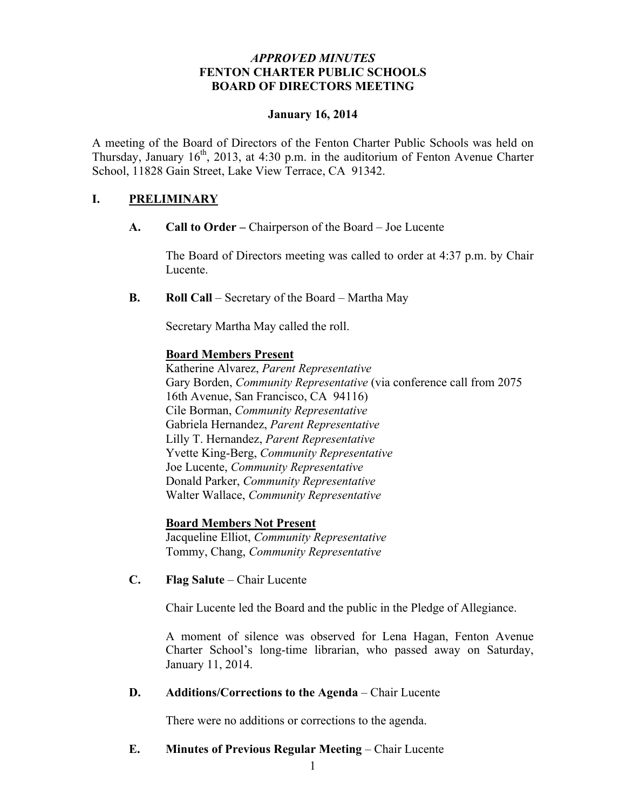# *APPROVED MINUTES* **FENTON CHARTER PUBLIC SCHOOLS BOARD OF DIRECTORS MEETING**

## **January 16, 2014**

A meeting of the Board of Directors of the Fenton Charter Public Schools was held on Thursday, January  $16<sup>th</sup>$ , 2013, at 4:30 p.m. in the auditorium of Fenton Avenue Charter School, 11828 Gain Street, Lake View Terrace, CA 91342.

## **I. PRELIMINARY**

**A. Call to Order –** Chairperson of the Board – Joe Lucente

The Board of Directors meeting was called to order at 4:37 p.m. by Chair Lucente.

**B. Roll Call** – Secretary of the Board – Martha May

Secretary Martha May called the roll.

## **Board Members Present**

Katherine Alvarez, *Parent Representative* Gary Borden, *Community Representative* (via conference call from 2075 16th Avenue, San Francisco, CA 94116) Cile Borman, *Community Representative* Gabriela Hernandez, *Parent Representative* Lilly T. Hernandez, *Parent Representative* Yvette King-Berg, *Community Representative* Joe Lucente, *Community Representative* Donald Parker, *Community Representative* Walter Wallace, *Community Representative*

# **Board Members Not Present**

Jacqueline Elliot, *Community Representative* Tommy, Chang, *Community Representative*

**C. Flag Salute** – Chair Lucente

Chair Lucente led the Board and the public in the Pledge of Allegiance.

A moment of silence was observed for Lena Hagan, Fenton Avenue Charter School's long-time librarian, who passed away on Saturday, January 11, 2014.

## **D. Additions/Corrections to the Agenda** – Chair Lucente

There were no additions or corrections to the agenda.

## **E. Minutes of Previous Regular Meeting – Chair Lucente**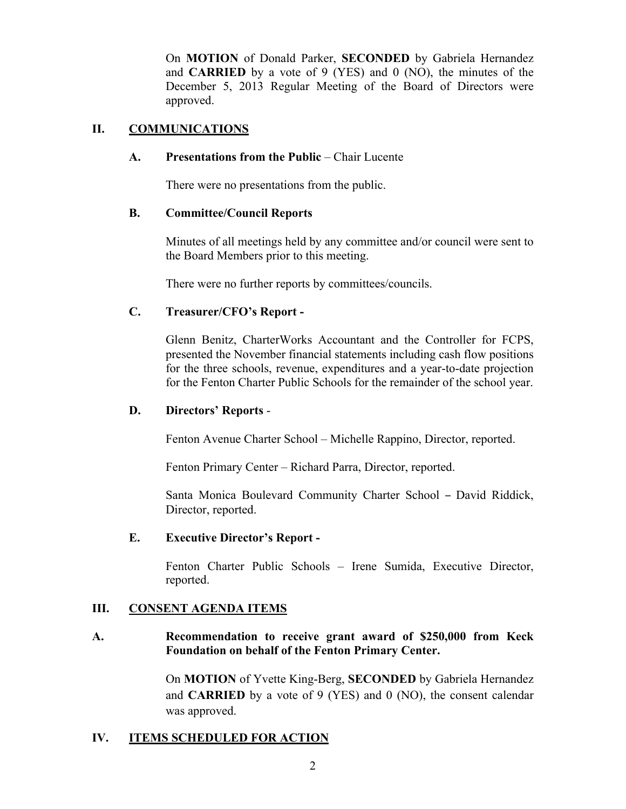On **MOTION** of Donald Parker, **SECONDED** by Gabriela Hernandez and **CARRIED** by a vote of 9 (YES) and 0 (NO), the minutes of the December 5, 2013 Regular Meeting of the Board of Directors were approved.

# **II. COMMUNICATIONS**

### **A. Presentations from the Public** – Chair Lucente

There were no presentations from the public.

## **B. Committee/Council Reports**

Minutes of all meetings held by any committee and/or council were sent to the Board Members prior to this meeting.

There were no further reports by committees/councils.

## **C. Treasurer/CFO's Report -**

Glenn Benitz, CharterWorks Accountant and the Controller for FCPS, presented the November financial statements including cash flow positions for the three schools, revenue, expenditures and a year-to-date projection for the Fenton Charter Public Schools for the remainder of the school year.

### **D. Directors' Reports** -

Fenton Avenue Charter School – Michelle Rappino, Director, reported.

Fenton Primary Center – Richard Parra, Director, reported.

Santa Monica Boulevard Community Charter School – David Riddick, Director, reported.

#### **E. Executive Director's Report -**

Fenton Charter Public Schools – Irene Sumida, Executive Director, reported.

## **III. CONSENT AGENDA ITEMS**

## **A. Recommendation to receive grant award of \$250,000 from Keck Foundation on behalf of the Fenton Primary Center.**

On **MOTION** of Yvette King-Berg, **SECONDED** by Gabriela Hernandez and **CARRIED** by a vote of 9 (YES) and 0 (NO), the consent calendar was approved.

## **IV. ITEMS SCHEDULED FOR ACTION**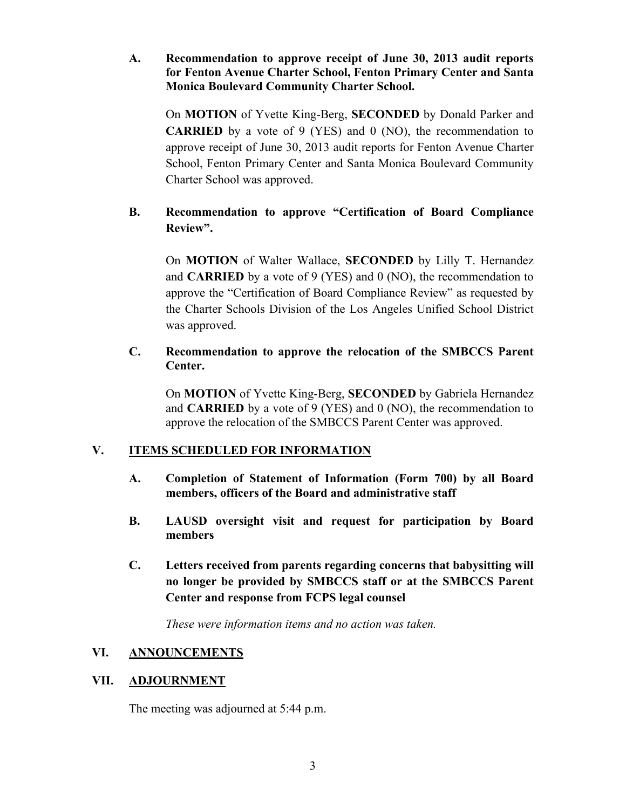# **A. Recommendation to approve receipt of June 30, 2013 audit reports for Fenton Avenue Charter School, Fenton Primary Center and Santa Monica Boulevard Community Charter School.**

On **MOTION** of Yvette King-Berg, **SECONDED** by Donald Parker and **CARRIED** by a vote of 9 (YES) and 0 (NO), the recommendation to approve receipt of June 30, 2013 audit reports for Fenton Avenue Charter School, Fenton Primary Center and Santa Monica Boulevard Community Charter School was approved.

# **B. Recommendation to approve "Certification of Board Compliance Review".**

On **MOTION** of Walter Wallace, **SECONDED** by Lilly T. Hernandez and **CARRIED** by a vote of 9 (YES) and 0 (NO), the recommendation to approve the "Certification of Board Compliance Review" as requested by the Charter Schools Division of the Los Angeles Unified School District was approved.

# **C. Recommendation to approve the relocation of the SMBCCS Parent Center.**

On **MOTION** of Yvette King-Berg, **SECONDED** by Gabriela Hernandez and **CARRIED** by a vote of 9 (YES) and 0 (NO), the recommendation to approve the relocation of the SMBCCS Parent Center was approved.

# **V. ITEMS SCHEDULED FOR INFORMATION**

- **A. Completion of Statement of Information (Form 700) by all Board members, officers of the Board and administrative staff**
- **B. LAUSD oversight visit and request for participation by Board members**
- **C. Letters received from parents regarding concerns that babysitting will no longer be provided by SMBCCS staff or at the SMBCCS Parent Center and response from FCPS legal counsel**

*These were information items and no action was taken.*

# **VI. ANNOUNCEMENTS**

# **VII. ADJOURNMENT**

The meeting was adjourned at 5:44 p.m.